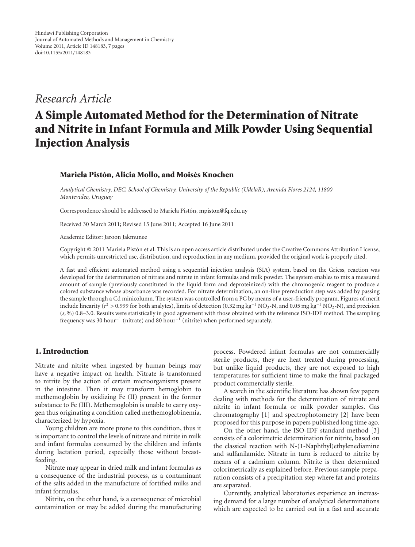*Research Article*

# **A Simple Automated Method for the Determination of Nitrate and Nitrite in Infant Formula and Milk Powder Using Sequential Injection Analysis**

### **Mariela Pistón, Alicia Mollo, and Moisés Knochen**

*Analytical Chemistry, DEC, School of Chemistry, University of the Republic (UdelaR), Avenida Flores 2124, 11800 Montevideo, Uruguay*

Correspondence should be addressed to Mariela Pistón, [mpiston@fq.edu.uy](mailto:mpiston@fq.edu.uy)

Received 30 March 2011; Revised 15 June 2011; Accepted 16 June 2011

Academic Editor: Jaroon Jakmunee

Copyright © 2011 Mariela Piston et al. This is an open access article distributed under the Creative Commons Attribution License, ´ which permits unrestricted use, distribution, and reproduction in any medium, provided the original work is properly cited.

A fast and efficient automated method using a sequential injection analysis (SIA) system, based on the Griess, reaction was developed for the determination of nitrate and nitrite in infant formulas and milk powder. The system enables to mix a measured amount of sample (previously constituted in the liquid form and deproteinized) with the chromogenic reagent to produce a colored substance whose absorbance was recorded. For nitrate determination, an on-line prereduction step was added by passing the sample through a Cd minicolumn. The system was controlled from a PC by means of a user-friendly program. Figures of merit include linearity (*r*<sup>2</sup> *>* 0.999 for both analytes), limits of detection (0.32 mg kg−<sup>1</sup> NO3-N, and 0.05 mg kg−<sup>1</sup> NO2-N), and precision (*sr*%) 0.8–3.0. Results were statistically in good agreement with those obtained with the reference ISO-IDF method. The sampling frequency was 30 hour−<sup>1</sup> (nitrate) and 80 hour−<sup>1</sup> (nitrite) when performed separately.

# **1. Introduction**

Nitrate and nitrite when ingested by human beings may have a negative impact on health. Nitrate is transformed to nitrite by the action of certain microorganisms present in the intestine. Then it may transform hemoglobin to methemoglobin by oxidizing Fe (II) present in the former substance to Fe (III). Methemoglobin is unable to carry oxygen thus originating a condition called methemoglobinemia, characterized by hypoxia.

Young children are more prone to this condition, thus it is important to control the levels of nitrate and nitrite in milk and infant formulas consumed by the children and infants during lactation period, especially those without breastfeeding.

Nitrate may appear in dried milk and infant formulas as a consequence of the industrial process, as a contaminant of the salts added in the manufacture of fortified milks and infant formulas.

Nitrite, on the other hand, is a consequence of microbial contamination or may be added during the manufacturing

process. Powdered infant formulas are not commercially sterile products, they are heat treated during processing, but unlike liquid products, they are not exposed to high temperatures for sufficient time to make the final packaged product commercially sterile.

A search in the scientific literature has shown few papers dealing with methods for the determination of nitrate and nitrite in infant formula or milk powder samples. Gas chromatography [\[1\]](#page-5-1) and spectrophotometry [\[2](#page-5-2)] have been proposed for this purpose in papers published long time ago.

On the other hand, the ISO-IDF standard method [\[3](#page-5-3)] consists of a colorimetric determination for nitrite, based on the classical reaction with N-(1-Naphthyl)ethylenediamine and sulfanilamide. Nitrate in turn is reduced to nitrite by means of a cadmium column. Nitrite is then determined colorimetrically as explained before. Previous sample preparation consists of a precipitation step where fat and proteins are separated.

Currently, analytical laboratories experience an increasing demand for a large number of analytical determinations which are expected to be carried out in a fast and accurate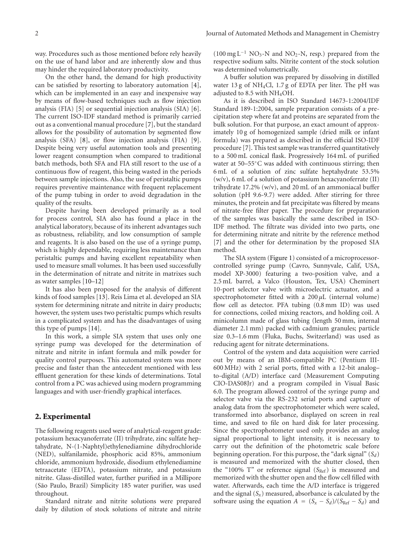way. Procedures such as those mentioned before rely heavily on the use of hand labor and are inherently slow and thus may hinder the required laboratory productivity.

On the other hand, the demand for high productivity can be satisfied by resorting to laboratory automation [\[4\]](#page-5-4), which can be implemented in an easy and inexpensive way by means of flow-based techniques such as flow injection analysis (FIA) [\[5](#page-5-5)] or sequential injection analysis (SIA) [\[6\]](#page-5-6). The current ISO-IDF standard method is primarily carried out as a conventional manual procedure [\[7](#page-5-7)], but the standard allows for the possibility of automation by segmented flow analysis (SFA) [\[8\]](#page-6-0), or flow injection analysis (FIA) [\[9\]](#page-6-1). Despite being very useful automation tools and presenting lower reagent consumption when compared to traditional batch methods, both SFA and FIA still resort to the use of a continuous flow of reagent, this being wasted in the periods between sample injections. Also, the use of peristaltic pumps requires preventive maintenance with frequent replacement of the pump tubing in order to avoid degradation in the quality of the results.

Despite having been developed primarily as a tool for process control, SIA also has found a place in the analytical laboratory, because of its inherent advantages such as robustness, reliability, and low consumption of sample and reagents. It is also based on the use of a syringe pump, which is highly dependable, requiring less maintenance than peristaltic pumps and having excellent repeatability when used to measure small volumes. It has been used successfully in the determination of nitrate and nitrite in matrixes such as water samples [\[10](#page-6-2)[–12\]](#page-6-3)

It has also been proposed for the analysis of different kinds of food samples [\[13](#page-6-4)]. Reis Lima et al. developed an SIA system for determining nitrate and nitrite in dairy products; however, the system uses two peristaltic pumps which results in a complicated system and has the disadvantages of using this type of pumps [\[14\]](#page-6-5).

In this work, a simple SIA system that uses only one syringe pump was developed for the determination of nitrate and nitrite in infant formula and milk powder for quality control purposes. This automated system was more precise and faster than the antecedent mentioned with less effluent generation for these kinds of determinations. Total control from a PC was achieved using modern programming languages and with user-friendly graphical interfaces.

#### **2. Experimental**

The following reagents used were of analytical-reagent grade: potassium hexacyanoferrate (II) trihydrate, zinc sulfate heptahydrate, N-(1-Naphtyl)ethylenediamine dihydrochloride (NED), sulfanilamide, phosphoric acid 85%, ammonium chloride, ammonium hydroxide, disodium ethylenediamine tetraacetate (EDTA), potassium nitrate, and potassium nitrite. Glass-distilled water, further purified in a Millipore (São Paulo, Brazil) Simplicity 185 water purifier, was used throughout.

Standard nitrate and nitrite solutions were prepared daily by dilution of stock solutions of nitrate and nitrite

 $(100 \text{ mg L}^{-1} \text{ NO}_3\text{-N}$  and NO<sub>2</sub>-N, resp.) prepared from the respective sodium salts. Nitrite content of the stock solution was determined volumetrically.

A buffer solution was prepared by dissolving in distilled water 13 g of  $NH<sub>4</sub>Cl$ , 1.7 g of EDTA per liter. The pH was adjusted to 8.5 with NH4OH.

As it is described in ISO Standard 14673-1:2004/IDF Standard 189-1:2004, sample preparation consists of a precipitation step where fat and proteins are separated from the bulk solution. For that purpose, an exact amount of approximately 10 g of homogenized sample (dried milk or infant formula) was prepared as described in the official ISO-IDF procedure [\[7](#page-5-7)]. This test sample was transferred quantitatively to a 500 mL conical flask. Progressively 164 mL of purified water at 50–55◦C was added with continuous stirring; then 6 mL of a solution of zinc sulfate heptahydrate 53.5% (w/v), 6 mL of a solution of potassium hexacyanoferrate (II) trihydrate 17.2% (w/v), and 20 mL of an ammoniacal buffer solution (pH 9.6-9.7) were added. After stirring for three minutes, the protein and fat precipitate was filtered by means of nitrate-free filter paper. The procedure for preparation of the samples was basically the same described in ISO-IDF method. The filtrate was divided into two parts, one for determining nitrate and nitrite by the reference method [\[7](#page-5-7)] and the other for determination by the proposed SIA method.

The SIA system [\(Figure 1\)](#page-2-0) consisted of a microprocessorcontrolled syringe pump (Cavro, Sunnyvale, Calif, USA, model XP-3000) featuring a two-position valve, and a 2.5 mL barrel, a Valco (Houston, Tex, USA) Cheminert 10-port selector valve with microelectric actuator, and a spectrophotometer fitted with a 200 *μ*L (internal volume) flow cell as detector. PFA tubing (0.8 mm ID) was used for connections, coiled mixing reactors, and holding coil. A minicolumn made of glass tubing (length 50 mm, internal diameter 2.1 mm) packed with cadmium granules; particle size 0.3–1.6 mm (Fluka, Buchs, Switzerland) was used as reducing agent for nitrate determinations.

Control of the system and data acquisition were carried out by means of an IBM-compatible PC (Pentium III-600 MHz) with 2 serial ports, fitted with a 12-bit analog– to-digital (A/D) interface card (Measurement Computing CIO-DAS08Jr) and a program compiled in Visual Basic 6.0. The program allowed control of the syringe pump and selector valve via the RS-232 serial ports and capture of analog data from the spectrophotometer which were scaled, transformed into absorbance, displayed on screen in real time, and saved to file on hard disk for later processing. Since the spectrophotometer used only provides an analog signal proportional to light intensity, it is necessary to carry out the definition of the photometric scale before beginning operation. For this purpose, the "dark signal" (*Sd*) is measured and memorized with the shutter closed, then the "100% T" or reference signal (S<sub>Ref</sub>) is measured and memorized with the shutter open and the flow cell filled with water. Afterwards, each time the A/D interface is triggered and the signal  $(S_x)$  measured, absorbance is calculated by the software using the equation  $A = (S_x - S_d)/(S_{Ref} - S_d)$  and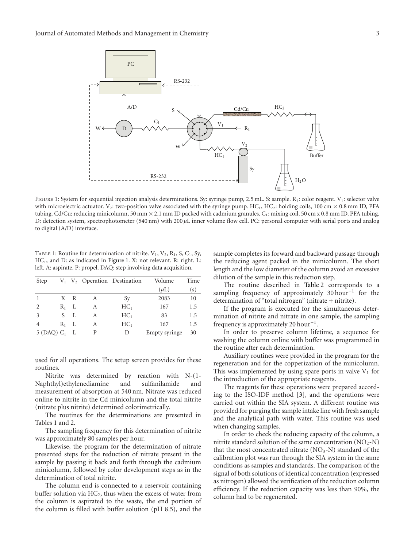

<span id="page-2-0"></span>FIGURE 1: System for sequential injection analysis determinations. Sy: syringe pump, 2.5 mL. S: sample. R<sub>1</sub>: color reagent. V<sub>1</sub>: selector valve with microelectric actuator. V<sub>2</sub>: two-position valve associated with the syringe pump. HC<sub>1</sub>, HC<sub>2</sub>: holding coils, 100 cm  $\times$  0.8 mm ID, PFA tubing. Cd/Cu: reducing minicolumn, 50 mm  $\times$  2.1 mm ID packed with cadmium granules. C<sub>1</sub>: mixing coil, 50 cm x 0.8 mm ID, PFA tubing. D: detection system, spectrophotometer (540 nm) with 200 *μ*L inner volume flow cell. PC: personal computer with serial ports and analog to digital (A/D) interface.

<span id="page-2-1"></span>TABLE 1: Routine for determination of nitrite.  $V_1$ ,  $V_2$ ,  $R_1$ ,  $S$ ,  $C_1$ ,  $Sy$ , HC<sub>1</sub>, and D: as indicated in [Figure 1.](#page-2-0) X: not relevant. R: right. L: left. A: aspirate. P: propel. DAQ: step involving data acquisition.

| Step                    |         |     |   | $V_1$ $V_2$ Operation Destination | Volume        | Time |
|-------------------------|---------|-----|---|-----------------------------------|---------------|------|
|                         |         |     |   |                                   | $(\mu L)$     | (s)  |
|                         |         | X R | A | Sy                                | 2083          | 10   |
|                         | $R_1$ L |     | A | HC <sub>1</sub>                   | 167           | 1.5  |
| 3                       | S       | L   | А | HC <sub>1</sub>                   | 83            | 1.5  |
| $\overline{4}$          | $R_1$ L |     | A | HC <sub>1</sub>                   | 167           | 1.5  |
| 5(DAO) C <sub>1</sub> L |         |     | P | Ð                                 | Empty syringe | 30   |

used for all operations. The setup screen provides for these routines.

Nitrite was determined by reaction with N-(1- Naphthyl)ethylenediamine and sulfanilamide and measurement of absorption at 540 nm. Nitrate was reduced online to nitrite in the Cd minicolumn and the total nitrite (nitrate plus nitrite) determined colorimetrically.

The routines for the determinations are presented in Tables [1](#page-2-1) and [2.](#page-3-0)

The sampling frequency for this determination of nitrite was approximately 80 samples per hour.

Likewise, the program for the determination of nitrate presented steps for the reduction of nitrate present in the sample by passing it back and forth through the cadmium minicolumn, followed by color development steps as in the determination of total nitrite.

The column end is connected to a reservoir containing buffer solution via  $HC<sub>2</sub>$ , thus when the excess of water from the column is aspirated to the waste, the end portion of the column is filled with buffer solution (pH 8.5), and the

sample completes its forward and backward passage through the reducing agent packed in the minicolumn. The short length and the low diameter of the column avoid an excessive dilution of the sample in this reduction step.

The routine described in [Table 2](#page-3-0) corresponds to a sampling frequency of approximately 30 hour<sup>-1</sup> for the determination of "total nitrogen" (nitrate + nitrite).

If the program is executed for the simultaneous determination of nitrite and nitrate in one sample, the sampling frequency is approximately 20 hour<sup>-1</sup>.

In order to preserve column lifetime, a sequence for washing the column online with buffer was programmed in the routine after each determination.

Auxiliary routines were provided in the program for the regeneration and for the copperization of the minicolumn. This was implemented by using spare ports in valve  $V_1$  for the introduction of the appropriate reagents.

The reagents for these operations were prepared according to the ISO-IDF method [\[3](#page-5-3)], and the operations were carried out within the SIA system. A different routine was provided for purging the sample intake line with fresh sample and the analytical path with water. This routine was used when changing samples.

In order to check the reducing capacity of the column, a nitrite standard solution of the same concentration  $(NO<sub>2</sub>-N)$ that the most concentrated nitrate  $(NO<sub>3</sub>-N)$  standard of the calibration plot was run through the SIA system in the same conditions as samples and standards. The comparison of the signal of both solutions of identical concentration (expressed as nitrogen) allowed the verification of the reduction column efficiency. If the reduction capacity was less than 90%, the column had to be regenerated.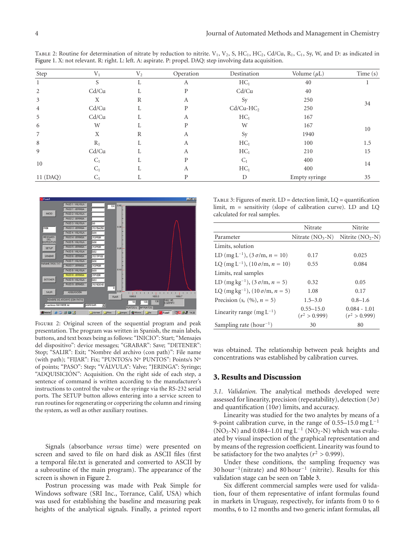| Step     | $V_1$ | V <sub>2</sub> | Operation | Destination     | Volume $(\mu L)$ | Time (s) |  |
|----------|-------|----------------|-----------|-----------------|------------------|----------|--|
|          | N,    | л.             | A         | HC <sub>1</sub> | 40               |          |  |
| 2        | Cd/Cu |                | D         | Cd/Cu           | 40               |          |  |
| 3        | X     | R              | А         | Sy              | 250              |          |  |
| 4        | Cd/Cu |                | P         | $Cd/Cu-HC2$     | 250              | 34       |  |
| 5        | Cd/Cu | Ι,             | А         | HC <sub>1</sub> | 167              |          |  |
| 6        | W     |                |           | W               | 167              |          |  |
| 7        | X     | R              | А         | Sy              | 1940             | 10       |  |
| 8        | $R_1$ |                | А         | HC <sub>1</sub> | 100              | 1.5      |  |
| 9        | Cd/Cu |                | А         | HC <sub>1</sub> | 210              | 15       |  |
| 10       | $C_1$ |                | D         | $C_1$           | 400              | 14       |  |
|          | $C_1$ |                | A         | HC <sub>1</sub> | 400              |          |  |
| 11 (DAQ) | $C_1$ |                |           | D               | Empty syringe    | 35       |  |

<span id="page-3-0"></span>TABLE 2: Routine for determination of nitrate by reduction to nitrite.  $V_1$ ,  $V_2$ ,  $S$ ,  $HC_1$ ,  $HC_2$ ,  $Cd/Cu$ ,  $R_1$ ,  $C_1$ ,  $Sy$ ,  $W$ , and D: as indicated in [Figure 1.](#page-2-0) X: not relevant. R: right. L: left. A: aspirate. P: propel. DAQ: step involving data acquisition.



<span id="page-3-1"></span>Figure 2: Original screen of the sequential program and peak presentation. The program was written in Spanish, the main labels, buttons, and text boxes being as follows: "INICIO": Start; "Mensajes del dispositivo": device messages; "GRABAR": Save; "DETENER": Stop; "SALIR": Exit; "Nombre del archivo (con path)": File name (with path); "FIJAR": Fix; "PUNTOS/s Nº PUNTOS": Points/s Nº of points; "PASO": Step; "VÁLVULA": Valve; "JERINGA": Syringe; "ADQUISICION": Acquisition. On the right side of each step, a ´ sentence of command is written according to the manufacturer's instructions to control the valve or the syringe via the RS-232 serial ports. The SETUP button allows entering into a service screen to run routines for regenerating or copperizing the column and rinsing the system, as well as other auxiliary routines.

Signals (absorbance *versus* time) were presented on screen and saved to file on hard disk as ASCII files (first a temporal file.txt is generated and converted to ASCII by a subroutine of the main program). The appearance of the screen is shown in [Figure 2.](#page-3-1)

Postrun processing was made with Peak Simple for Windows software (SRI Inc., Torrance, Calif, USA) which was used for establishing the baseline and measuring peak heights of the analytical signals. Finally, a printed report

<span id="page-3-2"></span>TABLE 3: Figures of merit.  $LD =$  detection limit,  $LQ =$  quantification limit, m = sensitivity (slope of calibration curve). LD and LQ calculated for real samples.

|                                                  | Nitrate                          | Nitrite                           |
|--------------------------------------------------|----------------------------------|-----------------------------------|
| Parameter                                        | Nitrate $(NO3-N)$                | Nitrite $(NO, -N)$                |
| Limits, solution                                 |                                  |                                   |
| LD (mg L <sup>-1</sup> ), $(3 \sigma/m, n = 10)$ | 0.17                             | 0.025                             |
| LQ $(mg L^{-1})$ , $(10 \sigma/m, n = 10)$       | 0.55                             | 0.084                             |
| Limits, real samples                             |                                  |                                   |
| LD (mg kg <sup>-1</sup> ), $(3 \sigma/m, n = 5)$ | 0.32                             | 0.05                              |
| LQ $(mg kg^{-1})$ , $(10 \sigma/m, n = 5)$       | 1.08                             | 0.17                              |
| Precision (s. $(%), n = 5)$ )                    | $1.5 - 3.0$                      | $0.8 - 1.6$                       |
| Linearity range $(mg L^{-1})$                    | $0.55 - 15.0$<br>$(r^2 > 0.999)$ | $0.084 - 1.01$<br>$(r^2 > 0.999)$ |
| Sampling rate $(hour^{-1})$                      | 30                               | 80                                |

was obtained. The relationship between peak heights and concentrations was established by calibration curves.

#### **3. Results and Discussion**

*3.1. Validation.* The analytical methods developed were assessed for linearity, precision (repeatability), detection (3*σ*) and quantification (10*σ*) limits, and accuracy.

Linearity was studied for the two analytes by means of a 9-point calibration curve, in the range of  $0.55-15.0$  mg L<sup>-1</sup> (NO<sub>3</sub>-N) and 0.084–1.01 mg L<sup>-1</sup> (NO<sub>2</sub>-N) which was evaluated by visual inspection of the graphical representation and by means of the regression coefficient. Linearity was found to be satisfactory for the two analytes ( $r^2 > 0.999$ ).

Under these conditions, the sampling frequency was 30 hour−1(nitrate) and 80 hour−<sup>1</sup> (nitrite). Results for this validation stage can be seen on [Table 3.](#page-3-2)

Six different commercial samples were used for validation, four of them representative of infant formulas found in markets in Uruguay, respectively, for infants from 0 to 6 months, 6 to 12 months and two generic infant formulas, all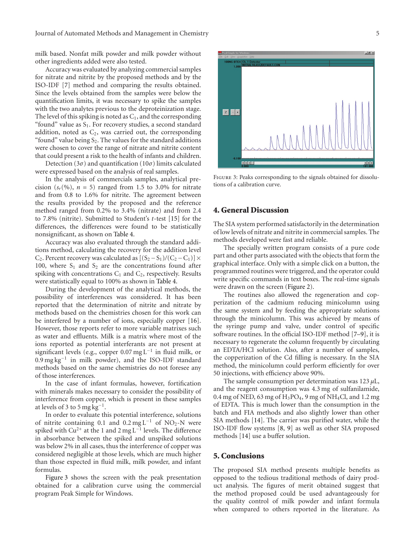milk based. Nonfat milk powder and milk powder without other ingredients added were also tested.

Accuracy was evaluated by analyzing commercial samples for nitrate and nitrite by the proposed methods and by the ISO-IDF [\[7](#page-5-7)] method and comparing the results obtained. Since the levels obtained from the samples were below the quantification limits, it was necessary to spike the samples with the two analytes previous to the deproteinization stage. The level of this spiking is noted as  $C_1$ , and the corresponding "found" value as  $S_1$ . For recovery studies, a second standard addition, noted as  $C_2$ , was carried out, the corresponding "found" value being  $S_2$ . The values for the standard additions were chosen to cover the range of nitrate and nitrite content that could present a risk to the health of infants and children.

Detection (3*σ*) and quantification (10*σ*) limits calculated were expressed based on the analysis of real samples.

In the analysis of commercials samples, analytical precision  $(s_r(^{0}\%)$ ,  $n = 5$ ) ranged from 1.5 to 3.0% for nitrate and from 0.8 to 1.6% for nitrite. The agreement between the results provided by the proposed and the reference method ranged from 0.2% to 3.4% (nitrate) and from 2.4 to 7.8% (nitrite). Submitted to Student's *t*-test [\[15\]](#page-6-6) for the differences, the differences were found to be statistically nonsignificant, as shown on [Table 4.](#page-5-8)

Accuracy was also evaluated through the standard additions method, calculating the recovery for the addition level C<sub>2</sub>. Percent recovery was calculated as  $[(S_2 - S_1)/(C_2 - C_1)] \times$ 100, where  $S_1$  and  $S_2$  are the concentrations found after spiking with concentrations  $C_1$  and  $C_2$ , respectively. Results were statistically equal to 100% as shown in [Table 4.](#page-5-8)

During the development of the analytical methods, the possibility of interferences was considered. It has been reported that the determination of nitrite and nitrate by methods based on the chemistries chosen for this work can be interfered by a number of ions, especially copper [\[16\]](#page-6-7). However, those reports refer to more variable matrixes such as water and effluents. Milk is a matrix where most of the ions reported as potential interferants are not present at significant levels (e.g., copper 0.07 mg  $L^{-1}$  in fluid milk, or 0.9 mg kg−<sup>1</sup> in milk powder), and the ISO-IDF standard methods based on the same chemistries do not foresee any of those interferences.

In the case of infant formulas, however, fortification with minerals makes necessary to consider the possibility of interference from copper, which is present in these samples at levels of 3 to 5 mg kg<sup>-1</sup>.

In order to evaluate this potential interference, solutions of nitrite containing 0.1 and  $0.2 \text{ mg L}^{-1}$  of NO<sub>2</sub>-N were spiked with  $Cu^{2+}$  at the 1 and 2 mg L<sup>-1</sup> levels. The difference in absorbance between the spiked and unspiked solutions was below 2% in all cases, thus the interference of copper was considered negligible at those levels, which are much higher than those expected in fluid milk, milk powder, and infant formulas.

[Figure 3](#page-4-0) shows the screen with the peak presentation obtained for a calibration curve using the commercial program Peak Simple for Windows.



<span id="page-4-0"></span>FIGURE 3: Peaks corresponding to the signals obtained for dissolutions of a calibration curve.

### **4. General Discussion**

The SIA system performed satisfactorily in the determination of low levels of nitrate and nitrite in commercial samples. The methods developed were fast and reliable.

The specially written program consists of a pure code part and other parts associated with the objects that form the graphical interface. Only with a simple click on a button, the programmed routines were triggered, and the operator could write specific commands in text boxes. The real-time signals were drawn on the screen [\(Figure 2\)](#page-3-1).

The routines also allowed the regeneration and copperization of the cadmium reducing minicolumn using the same system and by feeding the appropriate solutions through the minicolumn. This was achieved by means of the syringe pump and valve, under control of specific software routines. In the official ISO-IDF method [\[7](#page-5-7)[–9](#page-6-1)], it is necessary to regenerate the column frequently by circulating an EDTA/HCl solution. Also, after a number of samples, the copperization of the Cd filling is necessary. In the SIA method, the minicolumn could perform efficiently for over 50 injections, with efficiency above 90%.

The sample consumption per determination was 123 *μ*L, and the reagent consumption was 4.3 mg of sulfanilamide, 0.4 mg of NED, 63 mg of  $H_3PO_4$ , 9 mg of NH<sub>4</sub>Cl, and 1.2 mg of EDTA. This is much lower than the consumption in the batch and FIA methods and also slightly lower than other SIA methods [\[14\]](#page-6-5). The carrier was purified water, while the ISO-IDF flow systems [\[8,](#page-6-0) [9](#page-6-1)] as well as other SIA proposed methods [\[14\]](#page-6-5) use a buffer solution.

### **5. Conclusions**

The proposed SIA method presents multiple benefits as opposed to the tedious traditional methods of dairy product analysis. The figures of merit obtained suggest that the method proposed could be used advantageously for the quality control of milk powder and infant formula when compared to others reported in the literature. As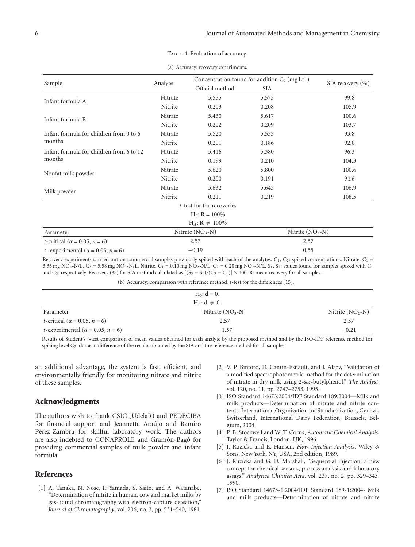| Sample                                              | Analyte           | Concentration found for addition $C_2$ (mg $L^{-1}$ ) |                   | SIA recovery $(\% )$ |
|-----------------------------------------------------|-------------------|-------------------------------------------------------|-------------------|----------------------|
|                                                     |                   | Official method                                       | <b>SIA</b>        |                      |
| Infant formula A                                    | Nitrate           | 5.555                                                 | 5.573             | 99.8                 |
|                                                     | Nitrite           | 0.203                                                 | 0.208             | 105.9                |
| Infant formula B                                    | Nitrate           | 5.430                                                 | 5.617             | 100.6                |
|                                                     | Nitrite           | 0.202                                                 | 0.209             | 103.7                |
| Infant formula for children from 0 to 6             | Nitrate           | 5.520                                                 | 5.533             | 93.8                 |
| months                                              | Nitrite           | 0.201                                                 | 0.186             | 92.0                 |
| Infant formula for children from 6 to 12            | Nitrate           | 5.416                                                 | 5.380             | 96.3                 |
| months                                              | Nitrite           | 0.199                                                 | 0.210             | 104.3                |
| Nonfat milk powder                                  | Nitrate           | 5.620                                                 | 5.800             | 100.6                |
|                                                     | Nitrite           | 0.200                                                 | 0.191             | 94.6                 |
| Milk powder                                         | Nitrate           | 5.632                                                 | 5.643             | 106.9                |
|                                                     | Nitrite           | 0.211                                                 | 0.219             | 108.5                |
|                                                     |                   | t-test for the recoveries                             |                   |                      |
|                                                     |                   | $H_0$ : $R = 100\%$                                   |                   |                      |
|                                                     |                   | $H_A: \mathbf{R} \neq 100\%$                          |                   |                      |
| Parameter                                           | Nitrate $(NO3-N)$ |                                                       | Nitrite $(NO2-N)$ |                      |
| <i>t</i> -critical ( $\alpha$ = 0.05, <i>n</i> = 6) |                   | 2.57                                                  | 2.57              |                      |
| t -experimental ( $\alpha$ = 0.05, n = 6)           |                   | $-0.19$                                               | 0.55              |                      |

#### TABLE 4: Evaluation of accuracy.

<span id="page-5-8"></span>(a) Accuracy: recovery experiments.

Recovery experiments carried out on commercial samples previously spiked with each of the analytes.  $C_1$ ,  $C_2$ : spiked concentrations. Nitrate,  $C_1$  = 3.35 mg NO<sub>3</sub>-N/L, C<sub>2</sub> = 5.58 mg NO<sub>3</sub>-N/L. Nitrite, C<sub>1</sub> = 0.10 mg NO<sub>2</sub>-N/L, C<sub>2</sub> = 0.20 mg NO<sub>2</sub>-N/L. S<sub>1</sub>, S<sub>2</sub>: values found for samples spiked with C<sub>1</sub> and C<sub>2</sub>, respectively. Recovery (%) for SIA method calculated as  $[(S_2 - S_1)/(C_2 - C_1)] \times 100$ . **R**: mean recovery for all samples.

(b) Accuracy: comparison with reference method, *t*-test for the differences [\[15](#page-6-6)].

|                                                         | $H_0: d = 0$ ,            |                    |
|---------------------------------------------------------|---------------------------|--------------------|
|                                                         | $H_A: \mathbf{d} \neq 0.$ |                    |
| Parameter                                               | Nitrate $(NO3-N)$         | Nitrite $(NO_2-N)$ |
| <i>t</i> -critical ( $\alpha$ = 0.05, <i>n</i> = 6)     | 2.57                      | 2.57               |
| <i>t</i> -experimental ( $\alpha$ = 0.05, <i>n</i> = 6) | $-1.57$                   | $-0.21$            |

Results of Student's *t*-test comparison of mean values obtained for each analyte by the proposed method and by the ISO-IDF reference method for spiking level C2. **d**: mean difference of the results obtained by the SIA and the reference method for all samples.

an additional advantage, the system is fast, efficient, and environmentally friendly for monitoring nitrate and nitrite of these samples.

## **Acknowledgments**

The authors wish to thank CSIC (UdelaR) and PEDECIBA for financial support and Jeannette Araújo and Ramiro Pérez-Zambra for skillful laboratory work. The authors are also indebted to CONAPROLE and Gramón-Bagó for providing commercial samples of milk powder and infant formula.

### <span id="page-5-0"></span>**References**

<span id="page-5-1"></span>[1] A. Tanaka, N. Nose, F. Yamada, S. Saito, and A. Watanabe, "Determination of nitrite in human, cow and market milks by gas-liquid chromatography with electron-capture detection," *Journal of Chromatography*, vol. 206, no. 3, pp. 531–540, 1981.

- <span id="page-5-2"></span>[2] V. P. Bintoro, D. Cantin-Esnault, and J. Alary, "Validation of a modified spectrophotometric method for the determination of nitrate in dry milk using 2-*sec*-butylphenol," *The Analyst*, vol. 120, no. 11, pp. 2747–2753, 1995.
- <span id="page-5-3"></span>[3] ISO Standard 14673:2004/IDF Standard 189:2004—Milk and milk products—Determination of nitrate and nitrite contents. International Organization for Standardization, Geneva, Switzerland, International Dairy Federation, Brussels, Belgium, 2004.
- <span id="page-5-4"></span>[4] P. B. Stockwell and W. T. Corns, *Automatic Chemical Analysis*, Taylor & Francis, London, UK, 1996.
- <span id="page-5-5"></span>[5] J. Ruzicka and E. Hansen, *Flow Injection Analysis*, Wiley & Sons, New York, NY, USA, 2nd edition, 1989.
- <span id="page-5-6"></span>[6] J. Ruzicka and G. D. Marshall, "Sequential injection: a new concept for chemical sensors, process analysis and laboratory assays," *Analytica Chimica Acta*, vol. 237, no. 2, pp. 329–343, 1990.
- <span id="page-5-7"></span>[7] ISO Standard 14673-1:2004/IDF Standard 189-1:2004- Milk and milk products—Determination of nitrate and nitrite